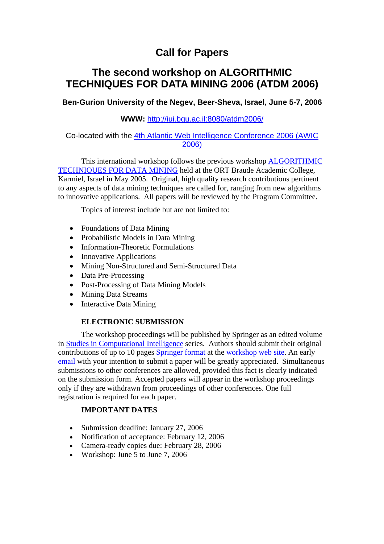# **Call for Papers**

## **The second workshop on ALGORITHMIC TECHNIQUES FOR DATA MINING 2006 (ATDM 2006)**

**Ben-Gurion University of the Negev, Beer-Sheva, Israel, June 5-7, 2006** 

## **WWW:** http://iui.bgu.ac.il:8080/atdm2006/

## Co-located with the 4th Atlantic Web Intelligence Conference 2006 (AWIC 2006)

This international workshop follows the previous workshop ALGORITHMIC TECHNIQUES FOR DATA MINING held at the ORT Braude Academic College, Karmiel, Israel in May 2005. Original, high quality research contributions pertinent to any aspects of data mining techniques are called for, ranging from new algorithms to innovative applications. All papers will be reviewed by the Program Committee.

Topics of interest include but are not limited to:

- Foundations of Data Mining
- Probabilistic Models in Data Mining
- Information-Theoretic Formulations
- Innovative Applications
- Mining Non-Structured and Semi-Structured Data
- Data Pre-Processing
- Post-Processing of Data Mining Models
- Mining Data Streams
- Interactive Data Mining

## **ELECTRONIC SUBMISSION**

The workshop proceedings will be published by Springer as an edited volume in Studies in Computational Intelligence series. Authors should submit their original contributions of up to 10 pages Springer format at the workshop web site. An early email with your intention to submit a paper will be greatly appreciated. Simultaneous submissions to other conferences are allowed, provided this fact is clearly indicated on the submission form. Accepted papers will appear in the workshop proceedings only if they are withdrawn from proceedings of other conferences. One full registration is required for each paper.

## **IMPORTANT DATES**

- Submission deadline: January 27, 2006
- Notification of acceptance: February 12, 2006
- Camera-ready copies due: February 28, 2006
- Workshop: June 5 to June 7, 2006